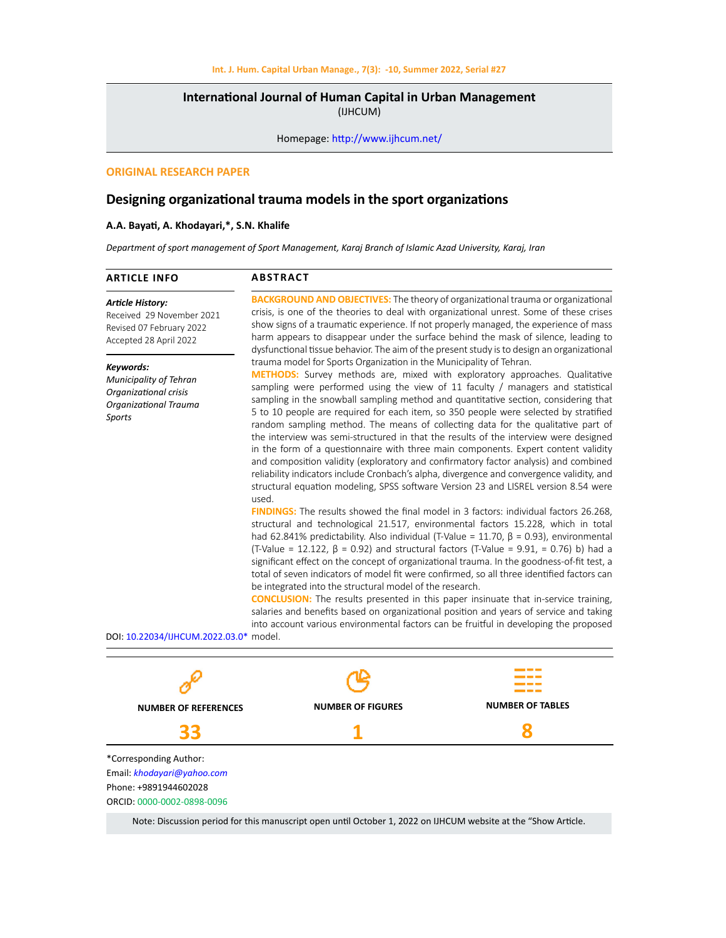# **International Journal of Human Capital in Urban Management**  (IJHCUM)

Homepage: http://www.ijhcum.net/

# **ORIGINAL RESEARCH PAPER**

# **Designing organizational trauma models in the sport organizations**

### **A.A. Bayati, A. Khodayari,\*, S.N. Khalife**

*Department of sport management of Sport Management, Karaj Branch of Islamic Azad University, Karaj, Iran*

#### **BACKGROUND AND OBJECTIVES:** The theory of organizational trauma or organizational crisis, is one of the theories to deal with organizational unrest. Some of these crises show signs of a traumatic experience. If not properly managed, the experience of mass harm appears to disappear under the surface behind the mask of silence, leading to dysfunctional tissue behavior. The aim of the present study is to design an organizational trauma model for Sports Organization in the Municipality of Tehran. **METHODS:** Survey methods are, mixed with exploratory approaches. Qualitative sampling were performed using the view of 11 faculty / managers and statistical sampling in the snowball sampling method and quantitative section, considering that 5 to 10 people are required for each item, so 350 people were selected by stratified random sampling method. The means of collecting data for the qualitative part of the interview was semi-structured in that the results of the interview were designed in the form of a questionnaire with three main components. Expert content validity and composition validity (exploratory and confirmatory factor analysis) and combined reliability indicators include Cronbach's alpha, divergence and convergence validity, and structural equation modeling, SPSS software Version 23 and LISREL version 8.54 were used. **FINDINGS:** The results showed the final model in 3 factors: individual factors 26.268, structural and technological 21.517, environmental factors 15.228, which in total had 62.841% predictability. Also individual (T-Value = 11.70,  $\beta$  = 0.93), environmental (T-Value = 12.122, β = 0.92) and structural factors (T-Value = 9.91, = 0.76) b) had a significant effect on the concept of organizational trauma. In the goodness-of-fit test, a total of seven indicators of model fit were confirmed, so all three identified factors can be integrated into the structural model of the research. **CONCLUSION:** The results presented in this paper insinuate that in-service training, salaries and benefits based on organizational position and years of service and taking into account various environmental factors can be fruitful in developing the proposed DOI: 10.22034/IJHCUM.2022.03.0\* model. **ARTICLE INFO**  *Article History:* Received 29 November 2021 Revised 07 February 2022 Accepted 28 April 2022 *Keywords: Municipality of Tehran Organizational crisis Organizational Trauma Sports* **ABSTRACT**



Note: Discussion period for this manuscript open until October 1, 2022 on IJHCUM website at the "Show Article.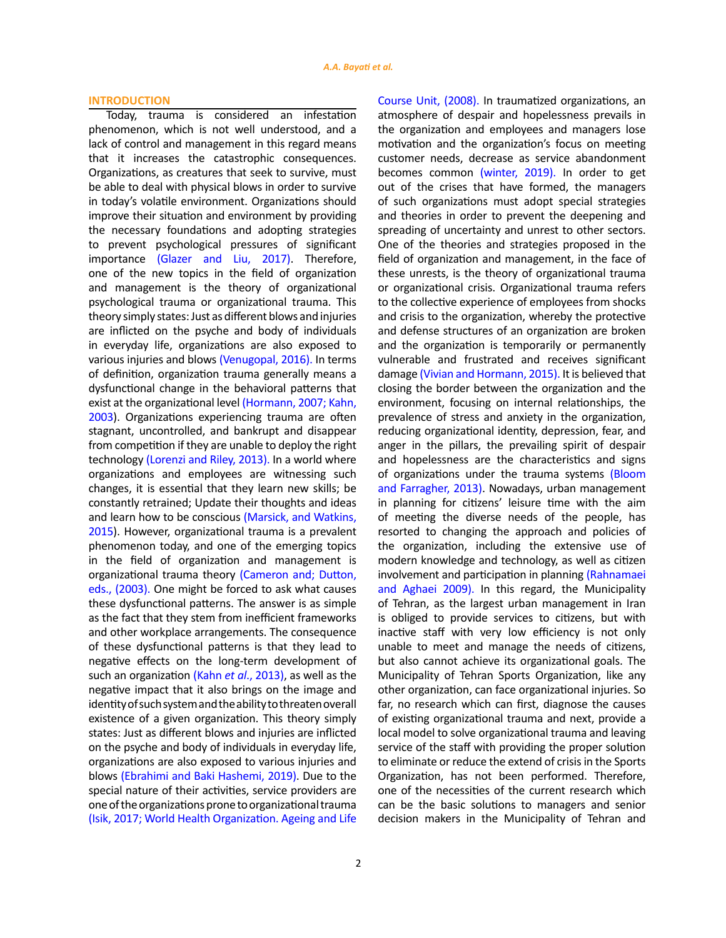# **INTRODUCTION**

Today, trauma is considered an infestation phenomenon, which is not well understood, and a lack of control and management in this regard means that it increases the catastrophic consequences. Organizations, as creatures that seek to survive, must be able to deal with physical blows in order to survive in today's volatile environment. Organizations should improve their situation and environment by providing the necessary foundations and adopting strategies to prevent psychological pressures of significant importance (Glazer and Liu, 2017). Therefore, one of the new topics in the field of organization and management is the theory of organizational psychological trauma or organizational trauma. This theory simply states: Just as different blows and injuries are inflicted on the psyche and body of individuals in everyday life, organizations are also exposed to various injuries and blows (Venugopal, 2016). In terms of definition, organization trauma generally means a dysfunctional change in the behavioral patterns that exist at the organizational level (Hormann, 2007; Kahn, 2003). Organizations experiencing trauma are often stagnant, uncontrolled, and bankrupt and disappear from competition if they are unable to deploy the right technology (Lorenzi and Riley, 2013). In a world where organizations and employees are witnessing such changes, it is essential that they learn new skills; be constantly retrained; Update their thoughts and ideas and learn how to be conscious (Marsick, and Watkins, 2015). However, organizational trauma is a prevalent phenomenon today, and one of the emerging topics in the field of organization and management is organizational trauma theory (Cameron and; Dutton, eds., (2003). One might be forced to ask what causes these dysfunctional patterns. The answer is as simple as the fact that they stem from inefficient frameworks and other workplace arrangements. The consequence of these dysfunctional patterns is that they lead to negative effects on the long-term development of such an organization (Kahn *et al*., 2013), as well as the negative impact that it also brings on the image and identity of such system and the ability to threaten overall existence of a given organization. This theory simply states: Just as different blows and injuries are inflicted on the psyche and body of individuals in everyday life, organizations are also exposed to various injuries and blows (Ebrahimi and Baki Hashemi, 2019). Due to the special nature of their activities, service providers are one of the organizations prone to organizational trauma (Isik, 2017; World Health Organization. Ageing and Life Course Unit, (2008). In traumatized organizations, an atmosphere of despair and hopelessness prevails in the organization and employees and managers lose motivation and the organization's focus on meeting customer needs, decrease as service abandonment becomes common (winter, 2019). In order to get out of the crises that have formed, the managers of such organizations must adopt special strategies and theories in order to prevent the deepening and spreading of uncertainty and unrest to other sectors. One of the theories and strategies proposed in the field of organization and management, in the face of these unrests, is the theory of organizational trauma or organizational crisis. Organizational trauma refers to the collective experience of employees from shocks and crisis to the organization, whereby the protective and defense structures of an organization are broken and the organization is temporarily or permanently vulnerable and frustrated and receives significant damage (Vivian and Hormann, 2015). It is believed that closing the border between the organization and the environment, focusing on internal relationships, the prevalence of stress and anxiety in the organization, reducing organizational identity, depression, fear, and anger in the pillars, the prevailing spirit of despair and hopelessness are the characteristics and signs of organizations under the trauma systems (Bloom and Farragher, 2013). Nowadays, urban management in planning for citizens' leisure time with the aim of meeting the diverse needs of the people, has resorted to changing the approach and policies of the organization, including the extensive use of modern knowledge and technology, as well as citizen involvement and participation in planning (Rahnamaei and Aghaei 2009). In this regard, the Municipality of Tehran, as the largest urban management in Iran is obliged to provide services to citizens, but with inactive staff with very low efficiency is not only unable to meet and manage the needs of citizens, but also cannot achieve its organizational goals. The Municipality of Tehran Sports Organization, like any other organization, can face organizational injuries. So far, no research which can first, diagnose the causes of existing organizational trauma and next, provide a local model to solve organizational trauma and leaving service of the staff with providing the proper solution to eliminate or reduce the extend of crisis in the Sports Organization, has not been performed. Therefore, one of the necessities of the current research which can be the basic solutions to managers and senior decision makers in the Municipality of Tehran and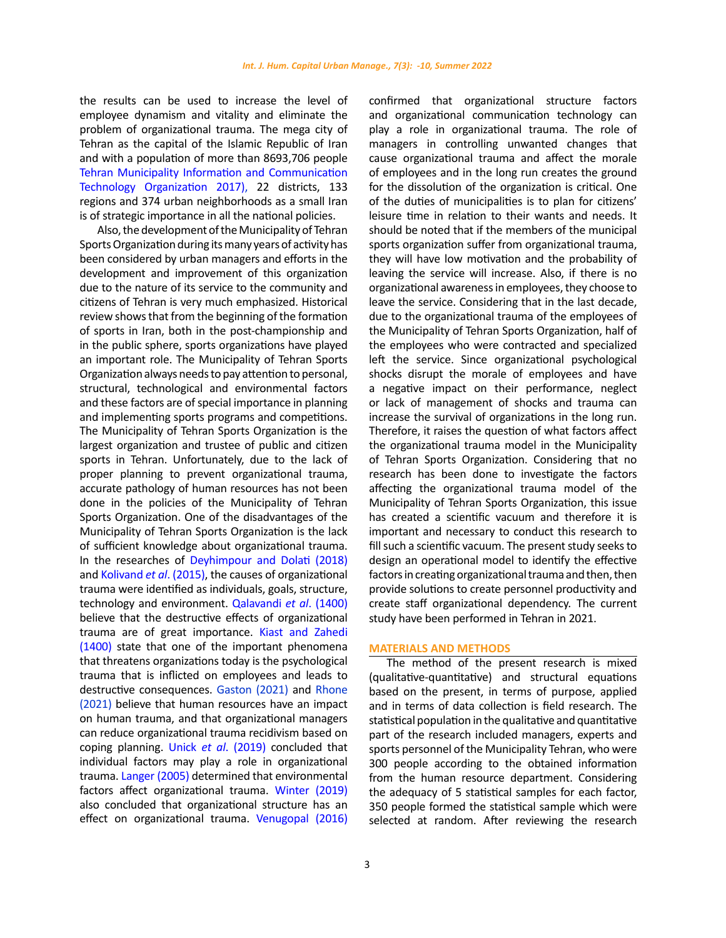the results can be used to increase the level of employee dynamism and vitality and eliminate the problem of organizational trauma. The mega city of Tehran as the capital of the Islamic Republic of Iran and with a population of more than 8693,706 people Tehran Municipality Information and Communication Technology Organization 2017), 22 districts, 133 regions and 374 urban neighborhoods as a small Iran is of strategic importance in all the national policies.

Also, the development of the Municipality of Tehran Sports Organization during its many years of activity has been considered by urban managers and efforts in the development and improvement of this organization due to the nature of its service to the community and citizens of Tehran is very much emphasized. Historical review shows that from the beginning of the formation of sports in Iran, both in the post-championship and in the public sphere, sports organizations have played an important role. The Municipality of Tehran Sports Organization always needs to pay attention to personal, structural, technological and environmental factors and these factors are of special importance in planning and implementing sports programs and competitions. The Municipality of Tehran Sports Organization is the largest organization and trustee of public and citizen sports in Tehran. Unfortunately, due to the lack of proper planning to prevent organizational trauma, accurate pathology of human resources has not been done in the policies of the Municipality of Tehran Sports Organization. One of the disadvantages of the Municipality of Tehran Sports Organization is the lack of sufficient knowledge about organizational trauma. In the researches of Deyhimpour and Dolati (2018) and Kolivand *et al*. (2015), the causes of organizational trauma were identified as individuals, goals, structure, technology and environment. Qalavandi *et al*. (1400) believe that the destructive effects of organizational trauma are of great importance. Kiast and Zahedi (1400) state that one of the important phenomena that threatens organizations today is the psychological trauma that is inflicted on employees and leads to destructive consequences. Gaston (2021) and Rhone (2021) believe that human resources have an impact on human trauma, and that organizational managers can reduce organizational trauma recidivism based on coping planning. Unick *et al*. (2019) concluded that individual factors may play a role in organizational trauma. Langer (2005) determined that environmental factors affect organizational trauma. Winter (2019) also concluded that organizational structure has an effect on organizational trauma. Venugopal (2016)

3

confirmed that organizational structure factors and organizational communication technology can play a role in organizational trauma. The role of managers in controlling unwanted changes that cause organizational trauma and affect the morale of employees and in the long run creates the ground for the dissolution of the organization is critical. One of the duties of municipalities is to plan for citizens' leisure time in relation to their wants and needs. It should be noted that if the members of the municipal sports organization suffer from organizational trauma, they will have low motivation and the probability of leaving the service will increase. Also, if there is no organizational awareness in employees, they choose to leave the service. Considering that in the last decade, due to the organizational trauma of the employees of the Municipality of Tehran Sports Organization, half of the employees who were contracted and specialized left the service. Since organizational psychological shocks disrupt the morale of employees and have a negative impact on their performance, neglect or lack of management of shocks and trauma can increase the survival of organizations in the long run. Therefore, it raises the question of what factors affect the organizational trauma model in the Municipality of Tehran Sports Organization. Considering that no research has been done to investigate the factors affecting the organizational trauma model of the Municipality of Tehran Sports Organization, this issue has created a scientific vacuum and therefore it is important and necessary to conduct this research to fill such a scientific vacuum. The present study seeks to design an operational model to identify the effective factors in creating organizational trauma and then, then provide solutions to create personnel productivity and create staff organizational dependency. The current study have been performed in Tehran in 2021.

## **MATERIALS AND METHODS**

The method of the present research is mixed (qualitative-quantitative) and structural equations based on the present, in terms of purpose, applied and in terms of data collection is field research. The statistical population in the qualitative and quantitative part of the research included managers, experts and sports personnel of the Municipality Tehran, who were 300 people according to the obtained information from the human resource department. Considering the adequacy of 5 statistical samples for each factor, 350 people formed the statistical sample which were selected at random. After reviewing the research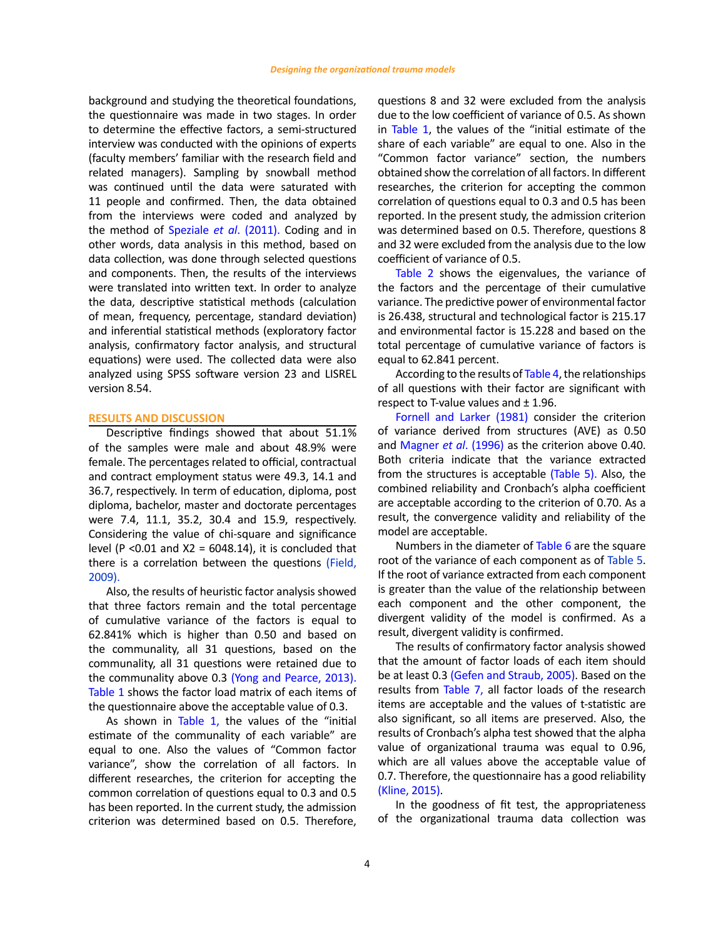background and studying the theoretical foundations, the questionnaire was made in two stages. In order to determine the effective factors, a semi-structured interview was conducted with the opinions of experts (faculty members' familiar with the research field and related managers). Sampling by snowball method was continued until the data were saturated with 11 people and confirmed. Then, the data obtained from the interviews were coded and analyzed by the method of Speziale *et al*. (2011). Coding and in other words, data analysis in this method, based on data collection, was done through selected questions and components. Then, the results of the interviews were translated into written text. In order to analyze the data, descriptive statistical methods (calculation of mean, frequency, percentage, standard deviation) and inferential statistical methods (exploratory factor analysis, confirmatory factor analysis, and structural equations) were used. The collected data were also analyzed using SPSS software version 23 and LISREL version 8.54.

# **RESULTS AND DISCUSSION**

Descriptive findings showed that about 51.1% of the samples were male and about 48.9% were female. The percentages related to official, contractual and contract employment status were 49.3, 14.1 and 36.7, respectively. In term of education, diploma, post diploma, bachelor, master and doctorate percentages were 7.4, 11.1, 35.2, 30.4 and 15.9, respectively. Considering the value of chi-square and significance level (P < 0.01 and  $X2 = 6048.14$ ), it is concluded that there is a correlation between the questions (Field, 2009).

Also, the results of heuristic factor analysis showed that three factors remain and the total percentage of cumulative variance of the factors is equal to 62.841% which is higher than 0.50 and based on the communality, all 31 questions, based on the communality, all 31 questions were retained due to the communality above 0.3 (Yong and Pearce, 2013). Table 1 shows the factor load matrix of each items of the questionnaire above the acceptable value of 0.3.

As shown in Table 1, the values of the "initial estimate of the communality of each variable" are equal to one. Also the values of "Common factor variance", show the correlation of all factors. In different researches, the criterion for accepting the common correlation of questions equal to 0.3 and 0.5 has been reported. In the current study, the admission criterion was determined based on 0.5. Therefore, questions 8 and 32 were excluded from the analysis due to the low coefficient of variance of 0.5. As shown in Table 1, the values of the "initial estimate of the share of each variable" are equal to one. Also in the "Common factor variance" section, the numbers obtained show the correlation of all factors. In different researches, the criterion for accepting the common correlation of questions equal to 0.3 and 0.5 has been reported. In the present study, the admission criterion was determined based on 0.5. Therefore, questions 8 and 32 were excluded from the analysis due to the low coefficient of variance of 0.5.

Table 2 shows the eigenvalues, the variance of the factors and the percentage of their cumulative variance. The predictive power of environmental factor is 26.438, structural and technological factor is 215.17 and environmental factor is 15.228 and based on the total percentage of cumulative variance of factors is equal to 62.841 percent.

According to the results of Table 4, the relationships of all questions with their factor are significant with respect to T-value values and  $\pm$  1.96.

Fornell and Larker (1981) consider the criterion of variance derived from structures (AVE) as 0.50 and Magner *et al*. (1996) as the criterion above 0.40. Both criteria indicate that the variance extracted from the structures is acceptable (Table 5). Also, the combined reliability and Cronbach's alpha coefficient are acceptable according to the criterion of 0.70. As a result, the convergence validity and reliability of the model are acceptable.

Numbers in the diameter of Table 6 are the square root of the variance of each component as of Table 5. If the root of variance extracted from each component is greater than the value of the relationship between each component and the other component, the divergent validity of the model is confirmed. As a result, divergent validity is confirmed.

The results of confirmatory factor analysis showed that the amount of factor loads of each item should be at least 0.3 (Gefen and Straub, 2005). Based on the results from Table 7, all factor loads of the research items are acceptable and the values of t-statistic are also significant, so all items are preserved. Also, the results of Cronbach's alpha test showed that the alpha value of organizational trauma was equal to 0.96, which are all values above the acceptable value of 0.7. Therefore, the questionnaire has a good reliability (Kline, 2015).

In the goodness of fit test, the appropriateness of the organizational trauma data collection was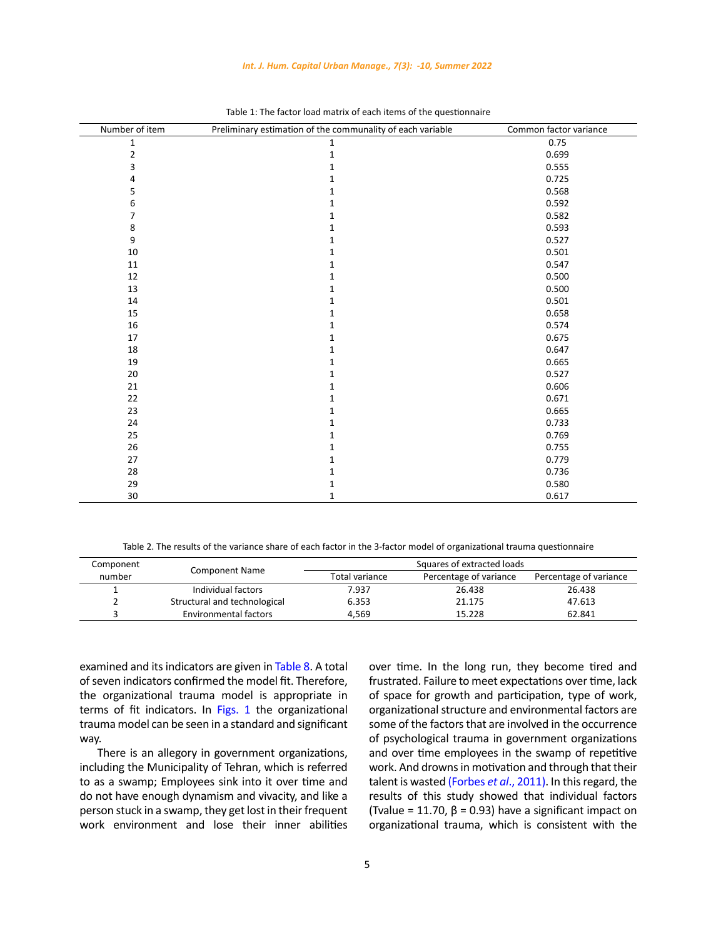# *Int. J. Hum. Capital Urban Manage., 7(3): -10, Summer 2022*

| Number of item | Preliminary estimation of the communality of each variable | Common factor variance |
|----------------|------------------------------------------------------------|------------------------|
| $\mathbf 1$    | $\mathbf 1$                                                | 0.75                   |
| $\overline{2}$ | $\mathbf 1$                                                | 0.699                  |
| 3              | $\mathbf{1}$                                               | 0.555                  |
| 4              | $\mathbf 1$                                                | 0.725                  |
| 5              | $\mathbf 1$                                                | 0.568                  |
| 6              | $\mathbf{1}$                                               | 0.592                  |
| 7              | $\mathbf 1$                                                | 0.582                  |
| 8              | $\mathbf{1}$                                               | 0.593                  |
| 9              | $\mathbf 1$                                                | 0.527                  |
| 10             | $\mathbf 1$                                                | 0.501                  |
| 11             | $\mathbf{1}$                                               | 0.547                  |
| 12             | $\mathbf{1}$                                               | 0.500                  |
| 13             | $\mathbf 1$                                                | 0.500                  |
| 14             | $\mathbf 1$                                                | 0.501                  |
| 15             | $\mathbf 1$                                                | 0.658                  |
| $16\,$         | $\mathbf 1$                                                | 0.574                  |
| 17             | $\mathbf{1}$                                               | 0.675                  |
| 18             | $\mathbf 1$                                                | 0.647                  |
| 19             | $\mathbf{1}$                                               | 0.665                  |
| 20             | $\mathbf 1$                                                | 0.527                  |
| 21             | $\mathbf 1$                                                | 0.606                  |
| 22             | $\mathbf 1$                                                | 0.671                  |
| 23             | $\mathbf{1}$                                               | 0.665                  |
| 24             | $\mathbf 1$                                                | 0.733                  |
| 25             | $\mathbf 1$                                                | 0.769                  |
| 26             | $\mathbf 1$                                                | 0.755                  |
| 27             | $\mathbf 1$                                                | 0.779                  |
| 28             | $\mathbf{1}$                                               | 0.736                  |
| 29             | $\mathbf 1$                                                | 0.580                  |
| 30             | 1                                                          | 0.617                  |

| Table 1: The factor load matrix of each items of the questionnaire |
|--------------------------------------------------------------------|

Table 2. The results of the variance share of each factor in the 3-factor model of organizational trauma questionnaire

| Component | <b>Component Name</b>        | Squares of extracted loads |                        |                        |  |
|-----------|------------------------------|----------------------------|------------------------|------------------------|--|
| number    |                              | Total variance             | Percentage of variance | Percentage of variance |  |
|           | Individual factors           | 7.937                      | 26.438                 | 26.438                 |  |
|           | Structural and technological | 6.353                      | 21.175                 | 47.613                 |  |
|           | <b>Environmental factors</b> | 4.569                      | 15.228                 | 62.841                 |  |

examined and its indicators are given in Table 8. A total of seven indicators confirmed the model fit. Therefore, the organizational trauma model is appropriate in terms of fit indicators. In Figs. 1 the organizational trauma model can be seen in a standard and significant way.

There is an allegory in government organizations, including the Municipality of Tehran, which is referred to as a swamp; Employees sink into it over time and do not have enough dynamism and vivacity, and like a person stuck in a swamp, they get lost in their frequent work environment and lose their inner abilities over time. In the long run, they become tired and frustrated. Failure to meet expectations over time, lack of space for growth and participation, type of work, organizational structure and environmental factors are some of the factors that are involved in the occurrence of psychological trauma in government organizations and over time employees in the swamp of repetitive work. And drowns in motivation and through that their talent is wasted (Forbes *et al*., 2011). In this regard, the results of this study showed that individual factors (Tvalue = 11.70,  $\beta$  = 0.93) have a significant impact on organizational trauma, which is consistent with the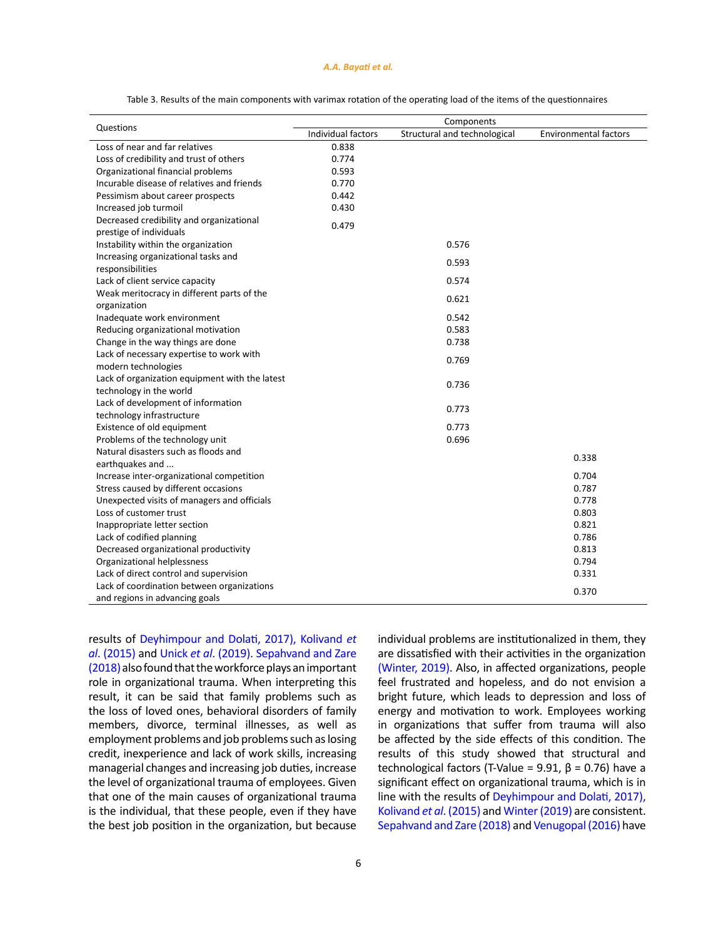#### *A.A. Bayati et al.*

|                                                |                    | Components                   |                              |
|------------------------------------------------|--------------------|------------------------------|------------------------------|
| Questions                                      | Individual factors | Structural and technological | <b>Environmental factors</b> |
| Loss of near and far relatives                 | 0.838              |                              |                              |
| Loss of credibility and trust of others        | 0.774              |                              |                              |
| Organizational financial problems              | 0.593              |                              |                              |
| Incurable disease of relatives and friends     | 0.770              |                              |                              |
| Pessimism about career prospects               | 0.442              |                              |                              |
| Increased job turmoil                          | 0.430              |                              |                              |
| Decreased credibility and organizational       | 0.479              |                              |                              |
| prestige of individuals                        |                    |                              |                              |
| Instability within the organization            |                    | 0.576                        |                              |
| Increasing organizational tasks and            |                    | 0.593                        |                              |
| responsibilities                               |                    |                              |                              |
| Lack of client service capacity                |                    | 0.574                        |                              |
| Weak meritocracy in different parts of the     |                    | 0.621                        |                              |
| organization                                   |                    |                              |                              |
| Inadequate work environment                    |                    | 0.542                        |                              |
| Reducing organizational motivation             |                    | 0.583                        |                              |
| Change in the way things are done              |                    | 0.738                        |                              |
| Lack of necessary expertise to work with       |                    | 0.769                        |                              |
| modern technologies                            |                    |                              |                              |
| Lack of organization equipment with the latest |                    | 0.736                        |                              |
| technology in the world                        |                    |                              |                              |
| Lack of development of information             |                    | 0.773                        |                              |
| technology infrastructure                      |                    |                              |                              |
| Existence of old equipment                     |                    | 0.773                        |                              |
| Problems of the technology unit                |                    | 0.696                        |                              |
| Natural disasters such as floods and           |                    |                              | 0.338                        |
| earthquakes and                                |                    |                              |                              |
| Increase inter-organizational competition      |                    |                              | 0.704                        |
| Stress caused by different occasions           |                    |                              | 0.787                        |
| Unexpected visits of managers and officials    |                    |                              | 0.778                        |
| Loss of customer trust                         |                    |                              | 0.803                        |
| Inappropriate letter section                   |                    |                              | 0.821                        |
| Lack of codified planning                      |                    |                              | 0.786                        |
| Decreased organizational productivity          |                    |                              | 0.813                        |
| Organizational helplessness                    |                    |                              | 0.794                        |
| Lack of direct control and supervision         |                    |                              | 0.331                        |
| Lack of coordination between organizations     |                    |                              | 0.370                        |
| and regions in advancing goals                 |                    |                              |                              |

Table 3. Results of the main components with varimax rotation of the operating load of the items of the questionnaires

results of Deyhimpour and Dolati, 2017), Kolivand *et al*. (2015) and Unick *et al*. (2019). Sepahvand and Zare (2018) also found that the workforce plays an important role in organizational trauma. When interpreting this result, it can be said that family problems such as the loss of loved ones, behavioral disorders of family members, divorce, terminal illnesses, as well as employment problems and job problems such as losing credit, inexperience and lack of work skills, increasing managerial changes and increasing job duties, increase the level of organizational trauma of employees. Given that one of the main causes of organizational trauma is the individual, that these people, even if they have the best job position in the organization, but because

individual problems are institutionalized in them, they are dissatisfied with their activities in the organization (Winter, 2019). Also, in affected organizations, people feel frustrated and hopeless, and do not envision a bright future, which leads to depression and loss of energy and motivation to work. Employees working in organizations that suffer from trauma will also be affected by the side effects of this condition. The results of this study showed that structural and technological factors (T-Value = 9.91,  $β = 0.76$ ) have a significant effect on organizational trauma, which is in line with the results of Deyhimpour and Dolati, 2017), Kolivand *et al*. (2015) and Winter (2019) are consistent. Sepahvand and Zare (2018) and Venugopal (2016) have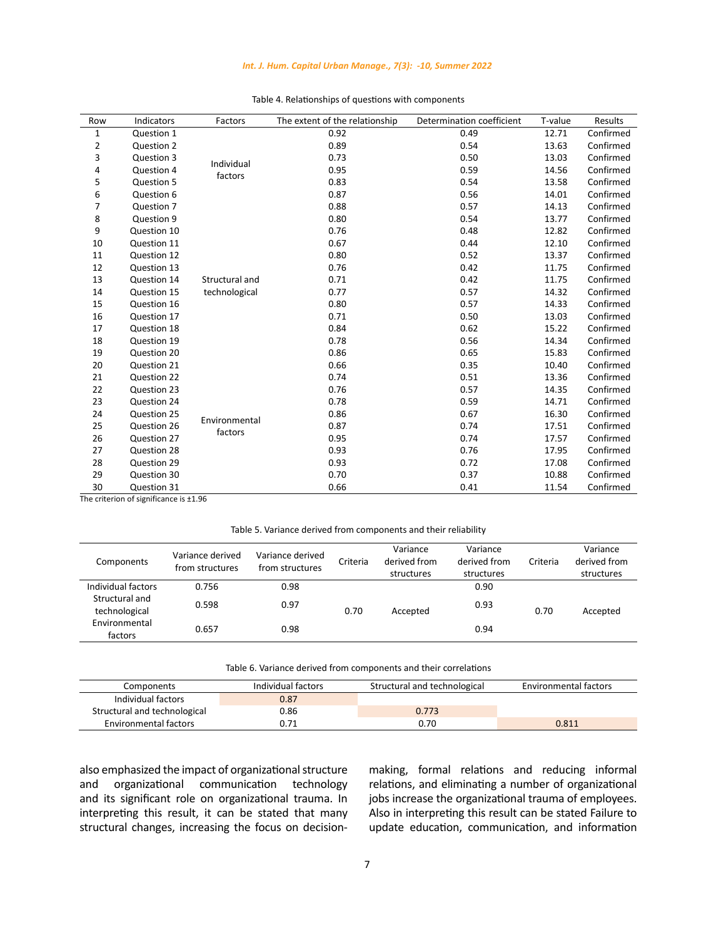# *Int. J. Hum. Capital Urban Manage., 7(3): -10, Summer 2022*

| Row | Indicators  | Factors        | The extent of the relationship | Determination coefficient | T-value | Results   |
|-----|-------------|----------------|--------------------------------|---------------------------|---------|-----------|
| 1   | Question 1  |                | 0.92                           | 0.49                      | 12.71   | Confirmed |
| 2   | Question 2  |                | 0.89                           | 0.54                      | 13.63   | Confirmed |
| 3   | Question 3  | Individual     | 0.73                           | 0.50                      | 13.03   | Confirmed |
| 4   | Question 4  | factors        | 0.95                           | 0.59                      | 14.56   | Confirmed |
| 5   | Question 5  |                | 0.83                           | 0.54                      | 13.58   | Confirmed |
| 6   | Question 6  |                | 0.87                           | 0.56                      | 14.01   | Confirmed |
| 7   | Question 7  |                | 0.88                           | 0.57                      | 14.13   | Confirmed |
| 8   | Question 9  |                | 0.80                           | 0.54                      | 13.77   | Confirmed |
| 9   | Question 10 |                | 0.76                           | 0.48                      | 12.82   | Confirmed |
| 10  | Question 11 |                | 0.67                           | 0.44                      | 12.10   | Confirmed |
| 11  | Question 12 |                | 0.80                           | 0.52                      | 13.37   | Confirmed |
| 12  | Question 13 |                | 0.76                           | 0.42                      | 11.75   | Confirmed |
| 13  | Question 14 | Structural and | 0.71                           | 0.42                      | 11.75   | Confirmed |
| 14  | Question 15 | technological  | 0.77                           | 0.57                      | 14.32   | Confirmed |
| 15  | Question 16 |                | 0.80                           | 0.57                      | 14.33   | Confirmed |
| 16  | Question 17 |                | 0.71                           | 0.50                      | 13.03   | Confirmed |
| 17  | Question 18 |                | 0.84                           | 0.62                      | 15.22   | Confirmed |
| 18  | Question 19 |                | 0.78                           | 0.56                      | 14.34   | Confirmed |
| 19  | Question 20 |                | 0.86                           | 0.65                      | 15.83   | Confirmed |
| 20  | Question 21 |                | 0.66                           | 0.35                      | 10.40   | Confirmed |
| 21  | Question 22 |                | 0.74                           | 0.51                      | 13.36   | Confirmed |
| 22  | Question 23 |                | 0.76                           | 0.57                      | 14.35   | Confirmed |
| 23  | Question 24 |                | 0.78                           | 0.59                      | 14.71   | Confirmed |
| 24  | Question 25 | Environmental  | 0.86                           | 0.67                      | 16.30   | Confirmed |
| 25  | Question 26 | factors        | 0.87                           | 0.74                      | 17.51   | Confirmed |
| 26  | Question 27 |                | 0.95                           | 0.74                      | 17.57   | Confirmed |
| 27  | Question 28 |                | 0.93                           | 0.76                      | 17.95   | Confirmed |
| 28  | Question 29 |                | 0.93                           | 0.72                      | 17.08   | Confirmed |
| 29  | Question 30 |                | 0.70                           | 0.37                      | 10.88   | Confirmed |
| 30  | Question 31 |                | 0.66                           | 0.41                      | 11.54   | Confirmed |

# Table 4. Relationships of questions with components Table 4. Relationships of questions with components

The criterion of significance is ±1.96

# Table 5. Variance derived from components and their reliability Table 5. Variance derived from components and their reliability

| Components                      | Variance derived<br>from structures | Variance derived<br>from structures | Criteria | Variance<br>derived from<br>structures | Variance<br>derived from<br>structures | Criteria | Variance<br>derived from<br>structures |
|---------------------------------|-------------------------------------|-------------------------------------|----------|----------------------------------------|----------------------------------------|----------|----------------------------------------|
| Individual factors              | 0.756                               | 0.98                                |          |                                        | 0.90                                   |          |                                        |
| Structural and<br>technological | 0.598                               | 0.97                                | 0.70     | Accepted                               | 0.93                                   | 0.70     | Accepted                               |
| Environmental<br>factors        | 0.657                               | 0.98                                |          |                                        | 0.94                                   |          |                                        |

| Table 6. Variance derived from components and their correlations |  |
|------------------------------------------------------------------|--|

| Components                   | Individual factors | Structural and technological | <b>Environmental factors</b> |
|------------------------------|--------------------|------------------------------|------------------------------|
| Individual factors           | 0.87               |                              |                              |
| Structural and technological | 0.86               | 0.773                        |                              |
| Environmental factors        | 0.71               | 0.70                         | 0.811                        |

also emphasized the impact of organizational structure<br>and organizational communication technology organizational communication technology and its significant role on organizational trauma. In interpreting this result, it can be stated that many structural changes, increasing the focus on decisionmaking, formal relations and reducing informal relations, and eliminating a number of organizational jobs increase the organizational trauma of employees. Also in interpreting this result can be stated Failure to update education, communication, and information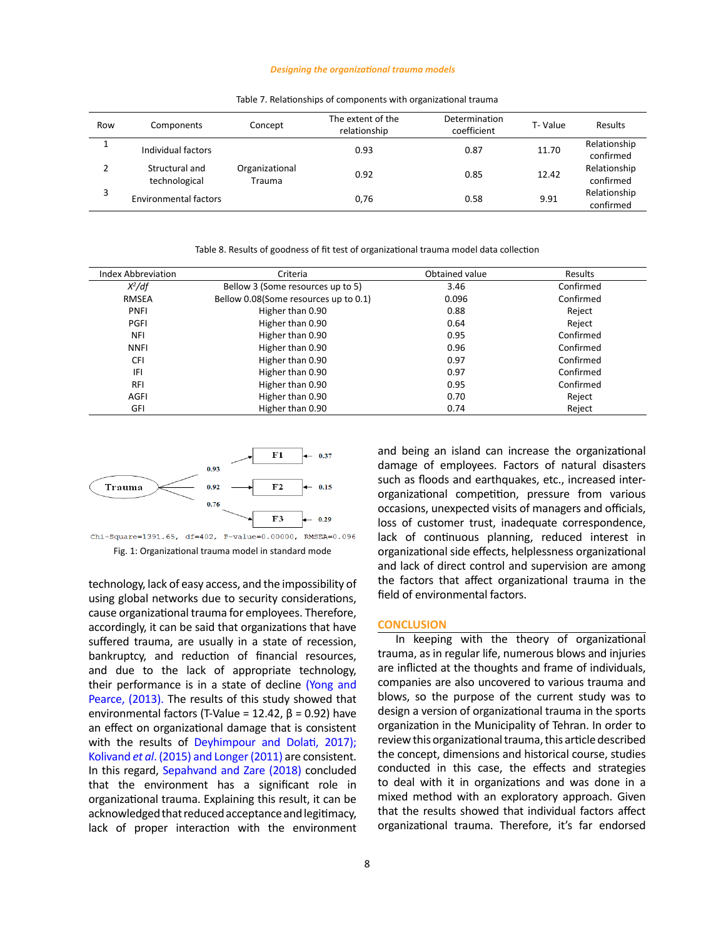#### *Designing the organizational trauma models*

| Row | Components                      | Concept                  | The extent of the<br>relationship | Determination<br>coefficient | T-Value | Results                   |
|-----|---------------------------------|--------------------------|-----------------------------------|------------------------------|---------|---------------------------|
|     | Individual factors              |                          | 0.93                              | 0.87                         | 11.70   | Relationship<br>confirmed |
|     | Structural and<br>technological | Organizational<br>Trauma | 0.92                              | 0.85                         | 12.42   | Relationship<br>confirmed |
|     | <b>Environmental factors</b>    |                          | 0,76                              | 0.58                         | 9.91    | Relationship<br>confirmed |

Table 7. Relationships of components with organizational trauma Table 7. Relationships of components with organizational trauma

Table 8. Results of goodness of fit test of organizational trauma model data collection Table 8. Results of goodness of fit test of organizational trauma model data collection

| <b>Index Abbreviation</b> | Obtained value<br>Criteria            |       | Results   |
|---------------------------|---------------------------------------|-------|-----------|
| $X^2/df$                  | Bellow 3 (Some resources up to 5)     | 3.46  | Confirmed |
| <b>RMSEA</b>              | Bellow 0.08(Some resources up to 0.1) | 0.096 | Confirmed |
| PNFI                      | Higher than 0.90                      | 0.88  | Reject    |
| PGFI                      | Higher than 0.90                      | 0.64  | Reject    |
| <b>NFI</b>                | Higher than 0.90                      | 0.95  | Confirmed |
| <b>NNFI</b>               | Higher than 0.90                      | 0.96  | Confirmed |
| CFI                       | Higher than 0.90                      | 0.97  | Confirmed |
| IFI                       | Higher than 0.90                      | 0.97  | Confirmed |
| <b>RFI</b>                | Higher than 0.90                      | 0.95  | Confirmed |
| <b>AGFI</b>               | Higher than 0.90                      | 0.70  | Reject    |
| GFI                       | Higher than 0.90                      | 0.74  | Reject    |





technology, lack of easy access, and the impossibility of using global networks due to security considerations, cause organizational trauma for employees. Therefore, accordingly, it can be said that organizations that have suffered trauma, are usually in a state of recession, bankruptcy, and reduction of financial resources, and due to the lack of appropriate technology, their performance is in a state of decline (Yong and Pearce, (2013). The results of this study showed that environmental factors (T-Value = 12.42,  $β = 0.92$ ) have an effect on organizational damage that is consistent with the results of Deyhimpour and Dolati, 2017); Kolivand *et al*. (2015) and Longer (2011) are consistent. In this regard, Sepahvand and Zare (2018) concluded that the environment has a significant role in organizational trauma. Explaining this result, it can be acknowledged that reduced acceptance and legitimacy, lack of proper interaction with the environment and being an island can increase the organizational damage of employees. Factors of natural disasters such as floods and earthquakes, etc., increased interorganizational competition, pressure from various occasions, unexpected visits of managers and officials, loss of customer trust, inadequate correspondence, lack of continuous planning, reduced interest in organizational side effects, helplessness organizational and lack of direct control and supervision are among the factors that affect organizational trauma in the field of environmental factors.

## **CONCLUSION**

In keeping with the theory of organizational trauma, as in regular life, numerous blows and injuries are inflicted at the thoughts and frame of individuals, companies are also uncovered to various trauma and blows, so the purpose of the current study was to design a version of organizational trauma in the sports organization in the Municipality of Tehran. In order to review this organizational trauma, this article described the concept, dimensions and historical course, studies conducted in this case, the effects and strategies to deal with it in organizations and was done in a mixed method with an exploratory approach. Given that the results showed that individual factors affect organizational trauma. Therefore, it's far endorsed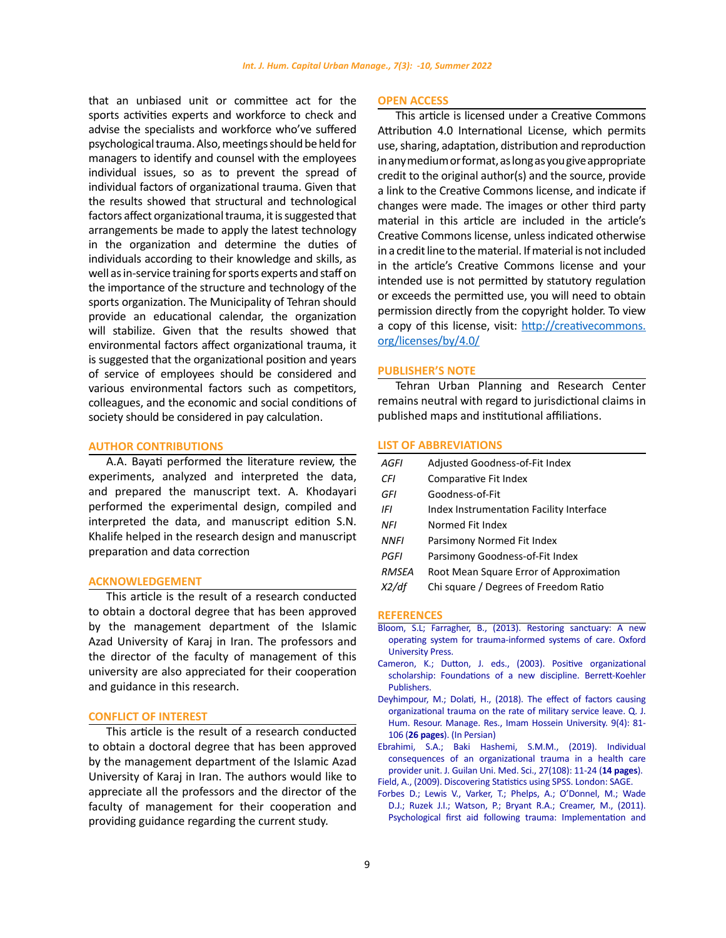that an unbiased unit or committee act for the sports activities experts and workforce to check and advise the specialists and workforce who've suffered psychological trauma. Also, meetings should be held for managers to identify and counsel with the employees individual issues, so as to prevent the spread of individual factors of organizational trauma. Given that the results showed that structural and technological factors affect organizational trauma, it is suggested that arrangements be made to apply the latest technology in the organization and determine the duties of individuals according to their knowledge and skills, as well as in-service training for sports experts and staff on the importance of the structure and technology of the sports organization. The Municipality of Tehran should provide an educational calendar, the organization will stabilize. Given that the results showed that environmental factors affect organizational trauma, it is suggested that the organizational position and years of service of employees should be considered and various environmental factors such as competitors, colleagues, and the economic and social conditions of society should be considered in pay calculation.

# **AUTHOR CONTRIBUTIONS**

A.A. Bayati performed the literature review, the experiments, analyzed and interpreted the data, and prepared the manuscript text. A. Khodayari performed the experimental design, compiled and interpreted the data, and manuscript edition S.N. Khalife helped in the research design and manuscript preparation and data correction

#### **ACKNOWLEDGEMENT**

This article is the result of a research conducted to obtain a doctoral degree that has been approved by the management department of the Islamic Azad University of Karaj in Iran. The professors and the director of the faculty of management of this university are also appreciated for their cooperation and guidance in this research.

## **CONFLICT OF INTEREST**

This article is the result of a research conducted to obtain a doctoral degree that has been approved by the management department of the Islamic Azad University of Karaj in Iran. The authors would like to appreciate all the professors and the director of the faculty of management for their cooperation and providing guidance regarding the current study.

## **OPEN ACCESS**

This article is licensed under a Creative Commons Attribution 4.0 International License, which permits use, sharing, adaptation, distribution and reproduction in any medium or format, as long as you give appropriate credit to the original author(s) and the source, provide a link to the Creative Commons license, and indicate if changes were made. The images or other third party material in this article are included in the article's Creative Commons license, unless indicated otherwise in a credit line to the material. If material is not included in the article's Creative Commons license and your intended use is not permitted by statutory regulation or exceeds the permitted use, you will need to obtain permission directly from the copyright holder. To view a copy of this license, visit: [http://creativecommons.](http://creativecommons.org/licenses/by/4.0/) [org/licenses/by/4.0/](http://creativecommons.org/licenses/by/4.0/)

## **PUBLISHER'S NOTE**

Tehran Urban Planning and Research Center remains neutral with regard to jurisdictional claims in published maps and institutional affiliations.

#### **LIST OF ABBREVIATIONS**

| AGFI        | Adjusted Goodness-of-Fit Index           |
|-------------|------------------------------------------|
| CFI         | Comparative Fit Index                    |
| GFI         | Goodness-of-Fit                          |
| IFI         | Index Instrumentation Facility Interface |
| NFI         | Normed Fit Index                         |
| <b>NNFI</b> | Parsimony Normed Fit Index               |
| PGFI        | Parsimony Goodness-of-Fit Index          |
| RMSEA       | Root Mean Square Error of Approximation  |
|             | Chi square / Degrees of Freedom Ratio    |

## **REFERENCES**

- [Bloom, S.L; Farragher, B., \(2013\). Restoring sanctuary: A new](https://books.google.com/books?hl=en&lr=&id=QLq1-mmzdpEC&oi=fnd&pg=PP1&dq=It+is+believed+that+closing+the+border+between+the+organization+and+the+environment,+focusing+on+internal+relationships,+the+prevalence+of+stress+and+anxiety+in+the+organization,+reducing+organizational+identity,+depression,+fear,+and+anger+in+the+pillars,&ots=0hsoupM01i&sig=btXzdCIFhl3JOCp5vbr5YE3HR34) [operating system for trauma-informed systems of care. Oxford](https://books.google.com/books?hl=en&lr=&id=QLq1-mmzdpEC&oi=fnd&pg=PP1&dq=It+is+believed+that+closing+the+border+between+the+organization+and+the+environment,+focusing+on+internal+relationships,+the+prevalence+of+stress+and+anxiety+in+the+organization,+reducing+organizational+identity,+depression,+fear,+and+anger+in+the+pillars,&ots=0hsoupM01i&sig=btXzdCIFhl3JOCp5vbr5YE3HR34) [University Press.](https://books.google.com/books?hl=en&lr=&id=QLq1-mmzdpEC&oi=fnd&pg=PP1&dq=It+is+believed+that+closing+the+border+between+the+organization+and+the+environment,+focusing+on+internal+relationships,+the+prevalence+of+stress+and+anxiety+in+the+organization,+reducing+organizational+identity,+depression,+fear,+and+anger+in+the+pillars,&ots=0hsoupM01i&sig=btXzdCIFhl3JOCp5vbr5YE3HR34)
- [Cameron, K.; Dutton, J. eds., \(2003\). Positive organizational](https://books.google.com/books?hl=en&lr=&id=cumQYLiKCCcC&oi=fnd&pg=PR9&dq=However,+organizational+trauma+is+a+prevalent+phenomenon+today,+and+one+of+the+emerging+topics+in+the+field+of+organization+and+management+is++organizational+trauma+theory.&ots=U4da8EWI5_&sig=wTeyUtrbjwlVypg1vnC26iKJsKM) [scholarship: Foundations of a new discipline. Berrett-Koehler](https://books.google.com/books?hl=en&lr=&id=cumQYLiKCCcC&oi=fnd&pg=PR9&dq=However,+organizational+trauma+is+a+prevalent+phenomenon+today,+and+one+of+the+emerging+topics+in+the+field+of+organization+and+management+is++organizational+trauma+theory.&ots=U4da8EWI5_&sig=wTeyUtrbjwlVypg1vnC26iKJsKM) [Publishers.](https://books.google.com/books?hl=en&lr=&id=cumQYLiKCCcC&oi=fnd&pg=PR9&dq=However,+organizational+trauma+is+a+prevalent+phenomenon+today,+and+one+of+the+emerging+topics+in+the+field+of+organization+and+management+is++organizational+trauma+theory.&ots=U4da8EWI5_&sig=wTeyUtrbjwlVypg1vnC26iKJsKM)
- [Deyhimpour, M.; Dolati, H., \(2018\). The effect of factors causing](http://ensani.ir/fa/article/381852/%D8%AA%D8%A3%D8%AB%DB%8C%D8%B1-%D8%B9%D9%88%D8%A7%D9%85%D9%84-%D8%A7%DB%8C%D8%AC%D8%A7%D8%AF%DA%A9%D9%86%D9%86%D8%AF%D9%87-%D8%AA%D8%B1%D9%88%D9%85%D8%A7%DB%8C-%D8%B3%D8%A7%D8%B2%D9%85%D8%A7%D9%86%DB%8C-%D8%A8%D8%B1%D9%85%DB%8C%D8%B2%D8%A7%D9%86-%D8%AA%D8%B1%DA%A9-%D8%AE%D8%AF%D9%85%D8%AA-%DA%A9%D8%A7%D8%B1%DA%A9%D9%86%D8%A7%D9%86-%D9%86%D8%B8%D8%A7%D9%85%DB%8C) [organizational trauma on the rate of military service leave. Q. J.](http://ensani.ir/fa/article/381852/%D8%AA%D8%A3%D8%AB%DB%8C%D8%B1-%D8%B9%D9%88%D8%A7%D9%85%D9%84-%D8%A7%DB%8C%D8%AC%D8%A7%D8%AF%DA%A9%D9%86%D9%86%D8%AF%D9%87-%D8%AA%D8%B1%D9%88%D9%85%D8%A7%DB%8C-%D8%B3%D8%A7%D8%B2%D9%85%D8%A7%D9%86%DB%8C-%D8%A8%D8%B1%D9%85%DB%8C%D8%B2%D8%A7%D9%86-%D8%AA%D8%B1%DA%A9-%D8%AE%D8%AF%D9%85%D8%AA-%DA%A9%D8%A7%D8%B1%DA%A9%D9%86%D8%A7%D9%86-%D9%86%D8%B8%D8%A7%D9%85%DB%8C) [Hum. Resour. Manage. Res., Imam Hossein University. 9\(4\): 81-](http://ensani.ir/fa/article/381852/%D8%AA%D8%A3%D8%AB%DB%8C%D8%B1-%D8%B9%D9%88%D8%A7%D9%85%D9%84-%D8%A7%DB%8C%D8%AC%D8%A7%D8%AF%DA%A9%D9%86%D9%86%D8%AF%D9%87-%D8%AA%D8%B1%D9%88%D9%85%D8%A7%DB%8C-%D8%B3%D8%A7%D8%B2%D9%85%D8%A7%D9%86%DB%8C-%D8%A8%D8%B1%D9%85%DB%8C%D8%B2%D8%A7%D9%86-%D8%AA%D8%B1%DA%A9-%D8%AE%D8%AF%D9%85%D8%AA-%DA%A9%D8%A7%D8%B1%DA%A9%D9%86%D8%A7%D9%86-%D9%86%D8%B8%D8%A7%D9%85%DB%8C) 106 (**26 pages**[\). \(In Persian\)](http://ensani.ir/fa/article/381852/%D8%AA%D8%A3%D8%AB%DB%8C%D8%B1-%D8%B9%D9%88%D8%A7%D9%85%D9%84-%D8%A7%DB%8C%D8%AC%D8%A7%D8%AF%DA%A9%D9%86%D9%86%D8%AF%D9%87-%D8%AA%D8%B1%D9%88%D9%85%D8%A7%DB%8C-%D8%B3%D8%A7%D8%B2%D9%85%D8%A7%D9%86%DB%8C-%D8%A8%D8%B1%D9%85%DB%8C%D8%B2%D8%A7%D9%86-%D8%AA%D8%B1%DA%A9-%D8%AE%D8%AF%D9%85%D8%AA-%DA%A9%D8%A7%D8%B1%DA%A9%D9%86%D8%A7%D9%86-%D9%86%D8%B8%D8%A7%D9%85%DB%8C)
- [Ebrahimi, S.A.; Baki Hashemi, S.M.M., \(2019\). Individual](https://journal.gums.ac.ir/browse.php?a_id=1759&sid=1&slc_lang=en) [consequences of an organizational trauma in a health care](https://journal.gums.ac.ir/browse.php?a_id=1759&sid=1&slc_lang=en) [provider unit. J. Guilan Uni. Med. Sci., 27\(108\): 11-24 \(](https://journal.gums.ac.ir/browse.php?a_id=1759&sid=1&slc_lang=en)**14 pages**).
- [Field, A., \(2009\). Discovering Statistics using SPSS. London: SAGE.](https://www.scirp.org/(S(351jmbntvnsjt1aadkposzje))/reference/ReferencesPapers.aspx?ReferenceID=1866193)
- [Forbes D.; Lewis V., Varker, T.; Phelps, A.; O'Donnel, M.; Wade](https://guilfordjournals.com/doi/abs/10.1521/psyc.2011.74.3.224) [D.J.; Ruzek J.I.; Watson, P.; Bryant R.A.; Creamer, M., \(2011\).](https://guilfordjournals.com/doi/abs/10.1521/psyc.2011.74.3.224) [Psychological first aid following trauma: Implementation and](https://guilfordjournals.com/doi/abs/10.1521/psyc.2011.74.3.224)